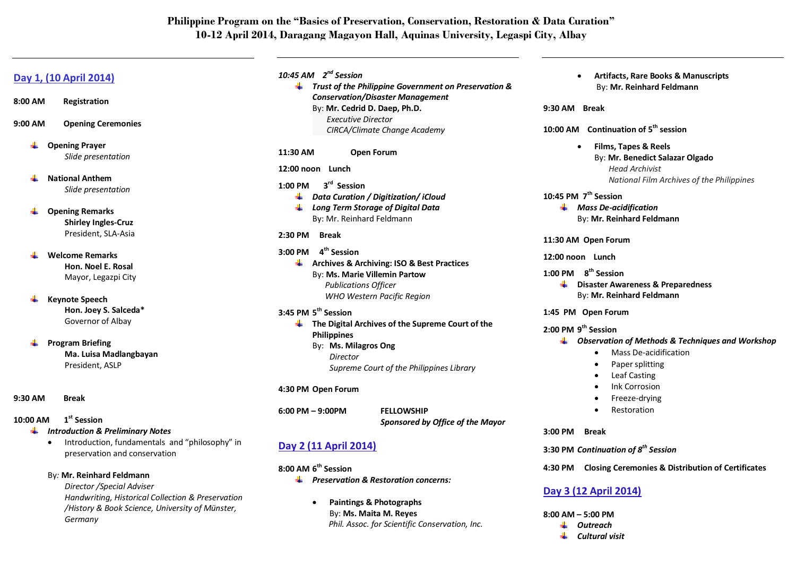# **Philippine Program on the "Basics of Preservation, Conservation, Restoration & Data Curation" 10-12 April 2014, Daragang Magayon Hall, Aquinas University, Legaspi City, Albay**

## **Day 1, (10 April 2014)**

- **8:00 AM Registration**
- **9:00 AM Opening Ceremonies**
	- **Opening Prayer** ₩. *Slide presentation*
	- **National Anthem** *Slide presentation*
	- ₩. **Opening Remarks Shirley Ingles-Cruz** President, SLA-Asia
	- **Welcome Remarks Hon. Noel E. Rosal** Mayor, Legazpi City
	- **Keynote Speech** ₩. **Hon. Joey S. Salceda\*** Governor of Albay
	- **Program Briefing** ÷ **Ma. Luisa Madlangbayan** President, ASLP
- **9:30 AM Break**

### **10:00 AM 1st Session**

- *Introduction & Preliminary Notes*
	- Introduction, fundamentals and "philosophy" in preservation and conservation

### By*:* **Mr. Reinhard Feldmann**

*Director /Special Adviser Handwriting, Historical Collection & Preservation /History & Book Science, University of Münster, Germany* 

### *10:45 AM 2 nd Session*

*Trust of the Philippine Government on Preservation & Conservation/Disaster Management*  By: **Mr. Cedrid D. Daep, Ph.D.** *Executive Director CIRCA/Climate Change Academy*

### **11:30 AM Open Forum**

### **12:00 noon Lunch**

- **1:00 PM 3<sup>rd</sup>** Session
	- *Data Curation / Digitization/ iCloud*
	- *Long Term Storage of Digital Data* By: Mr. Reinhard Feldmann

### **2:30 PM Break**

**3:00 PM 4th Session Archives & Archiving: ISO & Best Practices** By: **Ms. Marie Villemin Partow** *Publications Officer WHO Western Pacific Region*

### **3:45 PM 5 th Session**

**The Digital Archives of the Supreme Court of the Philippines** By: **Ms. Milagros Ong** *Director Supreme Court of the Philippines Library*

### **4:30 PM Open Forum**

**6:00 PM – 9:00PM FELLOWSHIP**

*Sponsored by Office of the Mayor*

## **Day 2 (11 April 2014)**

- **8:00 AM 6 th Session**
	- *Preservation & Restoration concerns:*
		- **Paintings & Photographs** By: **Ms. Maita M. Reyes** *Phil. Assoc. for Scientific Conservation, Inc.*

 **Artifacts, Rare Books & Manuscripts** By: **Mr. Reinhard Feldmann**

### **9:30 AM Break**

**10:00 AM Continuation of 5th session**

 **Films, Tapes & Reels** By: **Mr. Benedict Salazar Olgado**  *Head Archivist National Film Archives of the Philippines*

### **10:45 PM 7 th Session**

*Mass De-acidification* By: **Mr. Reinhard Feldmann**

### **11:30 AM Open Forum**

#### **12:00 noon Lunch**

### **1:00 PM 8 th Session**

**EXECUTE:** Disaster Awareness & Preparedness By: **Mr. Reinhard Feldmann**

### **1:45 PM Open Forum**

### **2:00 PM 9 th Session**

- *Observation of Methods & Techniques and Workshop* 
	- Mass De-acidification
	- Paper splitting
	- Leaf Casting
	- Ink Corrosion
	- Freeze-drying
	- Restoration

### **3:00 PM Break**

**3:30 PM** *Continuation of 8th Session* 

### **4:30 PM Closing Ceremonies & Distribution of Certificates**

## **Day 3 (12 April 2014)**

**8:00 AM – 5:00 PM**

- ₩ *Outreach*
- ₩. *Cultural visit*